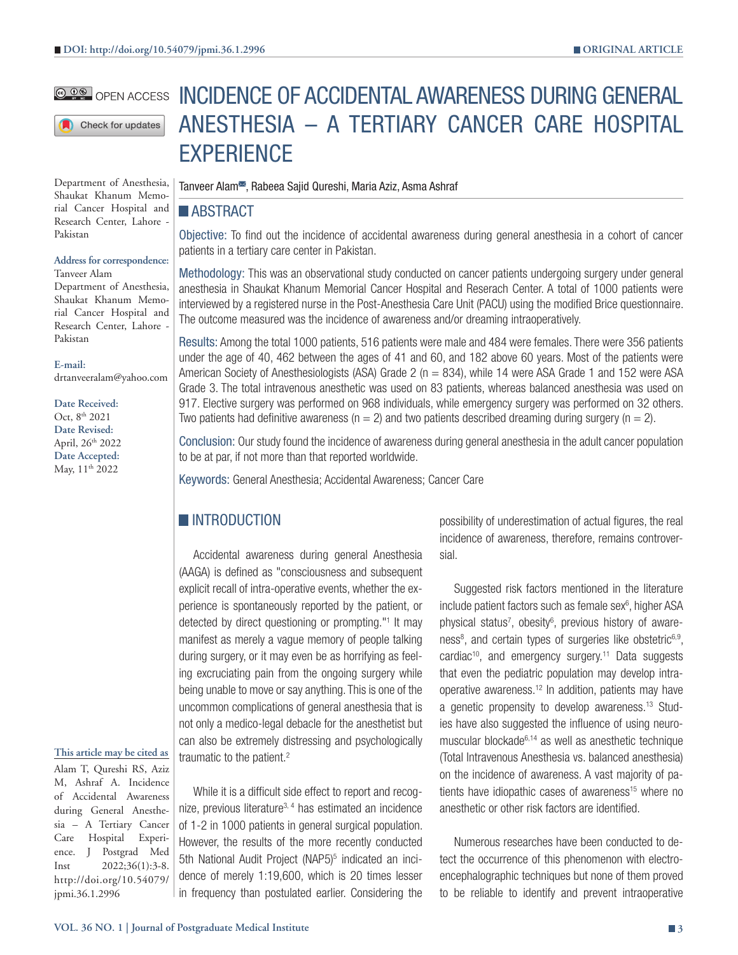### **@ 00 OPEN ACCESS**

Check for updates

Department of Anesthesia, Shaukat Khanum Memorial Cancer Hospital and Research Center, Lahore - Pakistan

#### **Address for correspondence:** Tanveer Alam

Department of Anesthesia, Shaukat Khanum Memorial Cancer Hospital and Research Center, Lahore - Pakistan

**E-mail:**

drtanveeralam@yahoo.com

**Date Received:** Oct, 8<sup>th</sup> 2021 **Date Revised:** April, 26th 2022 **Date Accepted:** May, 11<sup>th</sup> 2022

## **This article may be cited as**

Alam T, Qureshi RS, Aziz M, Ashraf A. Incidence of Accidental Awareness during General Anesthesia – A Tertiary Cancer Care Hospital Experience. J Postgrad Med Inst 2022;36(1):3-8. http://doi.org/10.54079/ jpmi.36.1.2996

INCIDENCE OF ACCIDENTAL AWARENESS DURING GENERAL ANESTHESIA – A TERTIARY CANCER CARE HOSPITAL **EXPERIENCE** 

Tanveer Alam<sup>®</sup>, Rabeea Sajid Qureshi, Maria Aziz, Asma Ashraf

# **ABSTRACT**

Objective: To find out the incidence of accidental awareness during general anesthesia in a cohort of cancer patients in a tertiary care center in Pakistan.

Methodology: This was an observational study conducted on cancer patients undergoing surgery under general anesthesia in Shaukat Khanum Memorial Cancer Hospital and Reserach Center. A total of 1000 patients were interviewed by a registered nurse in the Post-Anesthesia Care Unit (PACU) using the modified Brice questionnaire. The outcome measured was the incidence of awareness and/or dreaming intraoperatively.

Results: Among the total 1000 patients, 516 patients were male and 484 were females. There were 356 patients under the age of 40, 462 between the ages of 41 and 60, and 182 above 60 years. Most of the patients were American Society of Anesthesiologists (ASA) Grade 2 ( $n = 834$ ), while 14 were ASA Grade 1 and 152 were ASA Grade 3. The total intravenous anesthetic was used on 83 patients, whereas balanced anesthesia was used on 917. Elective surgery was performed on 968 individuals, while emergency surgery was performed on 32 others. Two patients had definitive awareness ( $n = 2$ ) and two patients described dreaming during surgery ( $n = 2$ ).

Conclusion: Our study found the incidence of awareness during general anesthesia in the adult cancer population to be at par, if not more than that reported worldwide.

Keywords: General Anesthesia; Accidental Awareness; Cancer Care

# **INTRODUCTION**

Accidental awareness during general Anesthesia (AAGA) is defined as "consciousness and subsequent explicit recall of intra-operative events, whether the experience is spontaneously reported by the patient, or detected by direct questioning or prompting."<sup>1</sup> It may manifest as merely a vague memory of people talking during surgery, or it may even be as horrifying as feeling excruciating pain from the ongoing surgery while being unable to move or say anything. This is one of the uncommon complications of general anesthesia that is not only a medico-legal debacle for the anesthetist but can also be extremely distressing and psychologically traumatic to the patient.<sup>2</sup>

While it is a difficult side effect to report and recognize, previous literature<sup>3, 4</sup> has estimated an incidence of 1-2 in 1000 patients in general surgical population. However, the results of the more recently conducted 5th National Audit Project (NAP5)<sup>5</sup> indicated an incidence of merely 1:19,600, which is 20 times lesser in frequency than postulated earlier. Considering the

possibility of underestimation of actual figures, the real incidence of awareness, therefore, remains controversial.

Suggested risk factors mentioned in the literature include patient factors such as female sex<sup>6</sup>, higher ASA physical status<sup>7</sup>, obesity<sup>6</sup>, previous history of awareness<sup>8</sup>, and certain types of surgeries like obstetric<sup>6,9</sup>, cardiac<sup>10</sup>, and emergency surgery.<sup>11</sup> Data suggests that even the pediatric population may develop intraoperative awareness.<sup>12</sup> In addition, patients may have a genetic propensity to develop awareness.13 Studies have also suggested the influence of using neuromuscular blockade6,14 as well as anesthetic technique (Total Intravenous Anesthesia vs. balanced anesthesia) on the incidence of awareness. A vast majority of patients have idiopathic cases of awareness<sup>15</sup> where no anesthetic or other risk factors are identified.

Numerous researches have been conducted to detect the occurrence of this phenomenon with electroencephalographic techniques but none of them proved to be reliable to identify and prevent intraoperative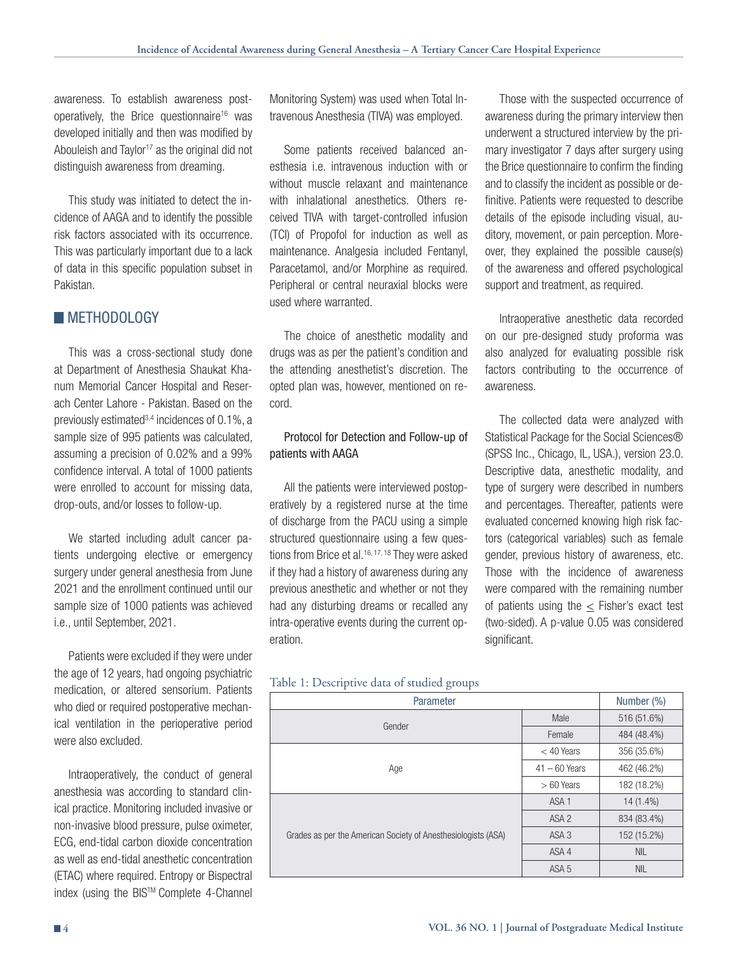awareness. To establish awareness postoperatively, the Brice questionnaire<sup>16</sup> was developed initially and then was modified by Abouleish and Taylor<sup>17</sup> as the original did not distinguish awareness from dreaming.

This study was initiated to detect the incidence of AAGA and to identify the possible risk factors associated with its occurrence. This was particularly important due to a lack of data in this specific population subset in Pakistan.

# **METHODOLOGY**

This was a cross-sectional study done at Department of Anesthesia Shaukat Khanum Memorial Cancer Hospital and Reserach Center Lahore - Pakistan. Based on the previously estimated  $3,4$  incidences of 0.1%, a sample size of 995 patients was calculated, assuming a precision of 0.02% and a 99% confidence interval. A total of 1000 patients were enrolled to account for missing data, drop-outs, and/or losses to follow-up.

We started including adult cancer patients undergoing elective or emergency surgery under general anesthesia from June 2021 and the enrollment continued until our sample size of 1000 patients was achieved i.e., until September, 2021.

Patients were excluded if they were under the age of 12 years, had ongoing psychiatric medication, or altered sensorium. Patients who died or required postoperative mechanical ventilation in the perioperative period were also excluded.

Intraoperatively, the conduct of general anesthesia was according to standard clinical practice. Monitoring included invasive or non-invasive blood pressure, pulse oximeter, ECG, end-tidal carbon dioxide concentration as well as end-tidal anesthetic concentration (ETAC) where required. Entropy or Bispectral index (using the BISTM Complete 4-Channel

Monitoring System) was used when Total Intravenous Anesthesia (TIVA) was employed.

Some patients received balanced anesthesia i.e. intravenous induction with or without muscle relaxant and maintenance with inhalational anesthetics. Others received TIVA with target-controlled infusion (TCI) of Propofol for induction as well as maintenance. Analgesia included Fentanyl, Paracetamol, and/or Morphine as required. Peripheral or central neuraxial blocks were used where warranted.

The choice of anesthetic modality and drugs was as per the patient's condition and the attending anesthetist's discretion. The opted plan was, however, mentioned on record.

### Protocol for Detection and Follow-up of patients with AAGA

All the patients were interviewed postoperatively by a registered nurse at the time of discharge from the PACU using a simple structured questionnaire using a few questions from Brice et al.<sup>16, 17, 18</sup> They were asked if they had a history of awareness during any previous anesthetic and whether or not they had any disturbing dreams or recalled any intra-operative events during the current operation.

#### Table 1: Descriptive data of studied groups

| Parameter                                                     |                  | Number (%)  |
|---------------------------------------------------------------|------------------|-------------|
| Gender                                                        | Male             | 516 (51.6%) |
|                                                               | Female           | 484 (48.4%) |
|                                                               | $<$ 40 Years     | 356 (35.6%) |
| Age                                                           | $41 - 60$ Years  | 462 (46.2%) |
|                                                               | $>60$ Years      | 182 (18.2%) |
| Grades as per the American Society of Anesthesiologists (ASA) | ASA <sub>1</sub> | $14(1.4\%)$ |
|                                                               | ASA <sub>2</sub> | 834 (83.4%) |
|                                                               | ASA <sub>3</sub> | 152 (15.2%) |
|                                                               | ASA 4            | <b>NIL</b>  |
|                                                               | ASA <sub>5</sub> | <b>NIL</b>  |

Those with the suspected occurrence of awareness during the primary interview then underwent a structured interview by the primary investigator 7 days after surgery using the Brice questionnaire to confirm the finding and to classify the incident as possible or definitive. Patients were requested to describe details of the episode including visual, auditory, movement, or pain perception. Moreover, they explained the possible cause(s) of the awareness and offered psychological support and treatment, as required.

Intraoperative anesthetic data recorded on our pre-designed study proforma was also analyzed for evaluating possible risk factors contributing to the occurrence of awareness.

The collected data were analyzed with Statistical Package for the Social Sciences® (SPSS Inc., Chicago, IL, USA.), version 23.0. Descriptive data, anesthetic modality, and type of surgery were described in numbers and percentages. Thereafter, patients were evaluated concerned knowing high risk factors (categorical variables) such as female gender, previous history of awareness, etc. Those with the incidence of awareness were compared with the remaining number of patients using the  $\leq$  Fisher's exact test (two-sided). A p-value 0.05 was considered significant.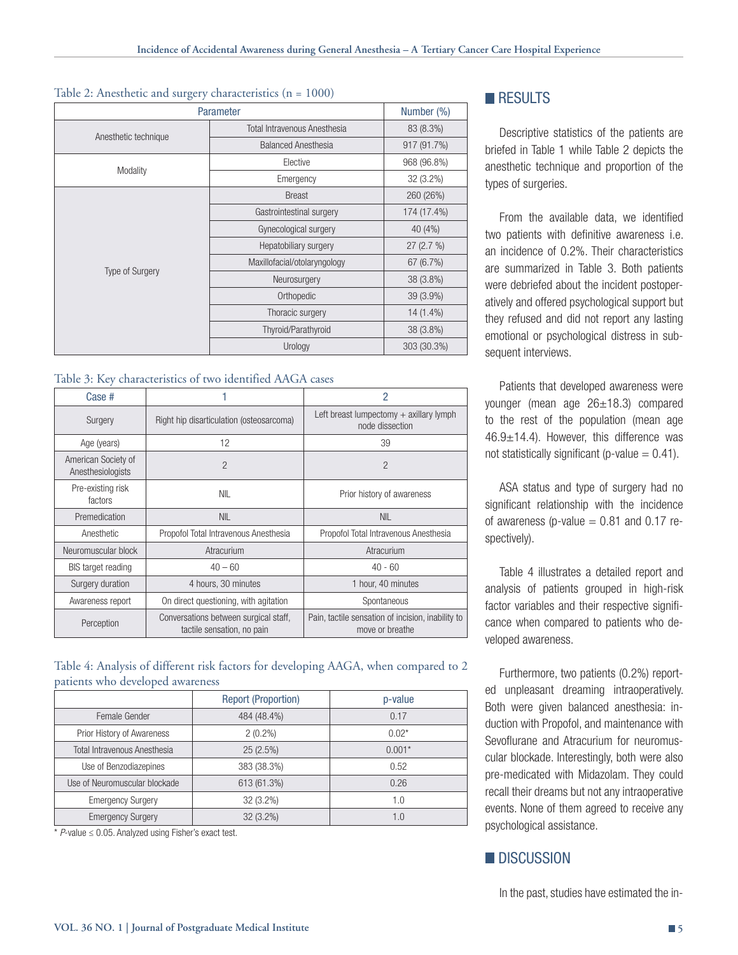#### Table 2: Anesthetic and surgery characteristics (n = 1000)

| Parameter              |                              | Number (%)  |
|------------------------|------------------------------|-------------|
|                        | Total Intravenous Anesthesia | 83 (8.3%)   |
| Anesthetic technique   | <b>Balanced Anesthesia</b>   | 917 (91.7%) |
| Modality               | Elective                     | 968 (96.8%) |
|                        | Emergency                    | 32 (3.2%)   |
| <b>Type of Surgery</b> | <b>Breast</b>                | 260 (26%)   |
|                        | Gastrointestinal surgery     | 174 (17.4%) |
|                        | Gynecological surgery        | 40 (4%)     |
|                        | Hepatobiliary surgery        | 27 (2.7 %)  |
|                        | Maxillofacial/otolaryngology | 67 (6.7%)   |
|                        | Neurosurgery                 | 38 (3.8%)   |
|                        | Orthopedic                   | 39 (3.9%)   |
|                        | Thoracic surgery             | 14 (1.4%)   |
|                        | Thyroid/Parathyroid          | 38 (3.8%)   |
|                        | Urology                      | 303 (30.3%) |

#### Table 3: Key characteristics of two identified AAGA cases

| Case #                                   |                                                                     | 2                                                                    |  |
|------------------------------------------|---------------------------------------------------------------------|----------------------------------------------------------------------|--|
| Surgery                                  | Right hip disarticulation (osteosarcoma)                            | Left breast lumpectomy $+$ axillary lymph<br>node dissection         |  |
| Age (years)                              | 12                                                                  | 39                                                                   |  |
| American Society of<br>Anesthesiologists | $\overline{2}$                                                      | $\overline{2}$                                                       |  |
| Pre-existing risk<br>factors             | <b>NIL</b>                                                          | Prior history of awareness                                           |  |
| Premedication                            | <b>NIL</b>                                                          | <b>NIL</b>                                                           |  |
| Anesthetic                               | Propofol Total Intravenous Anesthesia                               | Propofol Total Intravenous Anesthesia                                |  |
| Neuromuscular block                      | Atracurium                                                          | Atracurium                                                           |  |
| <b>BIS</b> target reading                | $40 - 60$                                                           | $40 - 60$                                                            |  |
| Surgery duration                         | 4 hours, 30 minutes                                                 | 1 hour, 40 minutes                                                   |  |
| Awareness report                         | On direct questioning, with agitation                               | Spontaneous                                                          |  |
| Perception                               | Conversations between surgical staff,<br>tactile sensation, no pain | Pain, tactile sensation of incision, inability to<br>move or breathe |  |

### Table 4: Analysis of different risk factors for developing AAGA, when compared to 2 patients who developed awareness

|                               | <b>Report (Proportion)</b> | p-value  |
|-------------------------------|----------------------------|----------|
| Female Gender                 | 484 (48.4%)                | 0.17     |
| Prior History of Awareness    | $2(0.2\%)$                 | $0.02*$  |
| Total Intravenous Anesthesia  | 25 (2.5%)                  | $0.001*$ |
| Use of Benzodiazepines        | 383 (38.3%)                | 0.52     |
| Use of Neuromuscular blockade | 613 (61.3%)                | 0.26     |
| <b>Emergency Surgery</b>      | 32 (3.2%)                  | 1.0      |
| <b>Emergency Surgery</b>      | 32 (3.2%)                  | 1.0      |

 $*$  *P*-value  $\leq$  0.05. Analyzed using Fisher's exact test.

# **RESULTS**

Descriptive statistics of the patients are briefed in Table 1 while Table 2 depicts the anesthetic technique and proportion of the types of surgeries.

From the available data, we identified two patients with definitive awareness i.e. an incidence of 0.2%. Their characteristics are summarized in Table 3. Both patients were debriefed about the incident postoperatively and offered psychological support but they refused and did not report any lasting emotional or psychological distress in subsequent interviews.

Patients that developed awareness were younger (mean age 26±18.3) compared to the rest of the population (mean age 46.9±14.4). However, this difference was not statistically significant (p-value  $= 0.41$ ).

ASA status and type of surgery had no significant relationship with the incidence of awareness (p-value  $= 0.81$  and 0.17 respectively).

Table 4 illustrates a detailed report and analysis of patients grouped in high-risk factor variables and their respective significance when compared to patients who developed awareness.

Furthermore, two patients (0.2%) reported unpleasant dreaming intraoperatively. Both were given balanced anesthesia: induction with Propofol, and maintenance with Sevoflurane and Atracurium for neuromuscular blockade. Interestingly, both were also pre-medicated with Midazolam. They could recall their dreams but not any intraoperative events. None of them agreed to receive any psychological assistance.

# **DISCUSSION**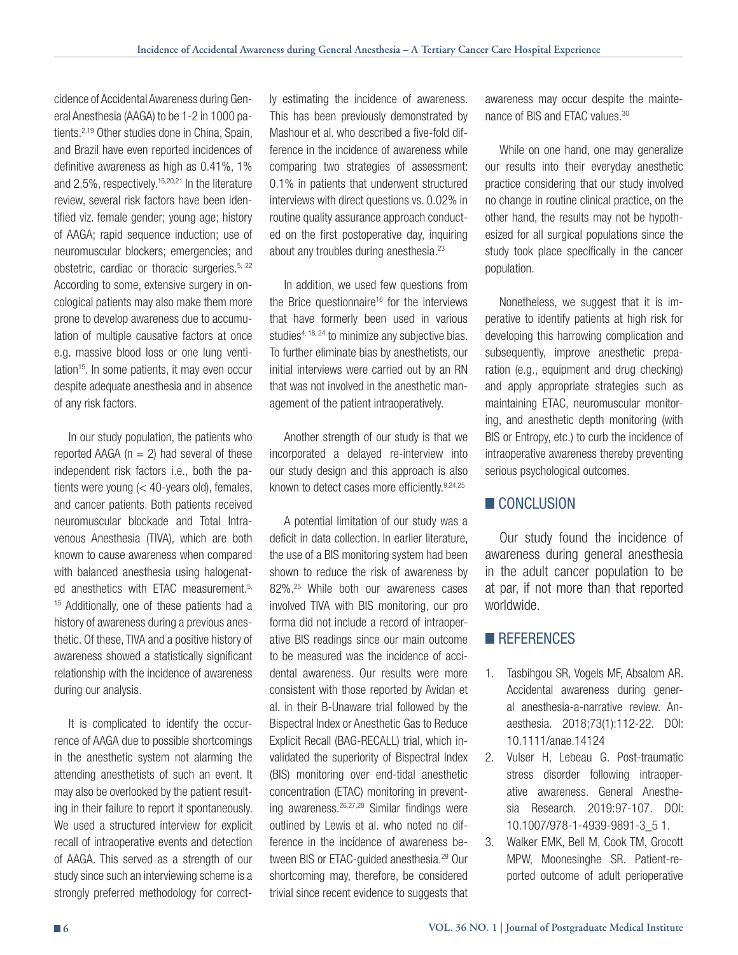cidence of Accidental Awareness during General Anesthesia (AAGA) to be 1-2 in 1000 patients.2,19 Other studies done in China, Spain, and Brazil have even reported incidences of definitive awareness as high as 0.41%, 1% and 2.5%, respectively.<sup>15,20,21</sup> In the literature review, several risk factors have been identified viz. female gender; young age; history of AAGA; rapid sequence induction; use of neuromuscular blockers; emergencies; and obstetric, cardiac or thoracic surgeries. $5, 22$ According to some, extensive surgery in oncological patients may also make them more prone to develop awareness due to accumulation of multiple causative factors at once e.g. massive blood loss or one lung ventilation<sup>15</sup>. In some patients, it may even occur despite adequate anesthesia and in absence of any risk factors.

In our study population, the patients who reported AAGA ( $n = 2$ ) had several of these independent risk factors i.e., both the patients were young (< 40-years old), females, and cancer patients. Both patients received neuromuscular blockade and Total Intravenous Anesthesia (TIVA), which are both known to cause awareness when compared with balanced anesthesia using halogenated anesthetics with ETAC measurement.<sup>5,</sup> <sup>15</sup> Additionally, one of these patients had a history of awareness during a previous anesthetic. Of these, TIVA and a positive history of awareness showed a statistically significant relationship with the incidence of awareness during our analysis.

It is complicated to identify the occurrence of AAGA due to possible shortcomings in the anesthetic system not alarming the attending anesthetists of such an event. It may also be overlooked by the patient resulting in their failure to report it spontaneously. We used a structured interview for explicit recall of intraoperative events and detection of AAGA. This served as a strength of our study since such an interviewing scheme is a strongly preferred methodology for correctly estimating the incidence of awareness. This has been previously demonstrated by Mashour et al. who described a five-fold difference in the incidence of awareness while comparing two strategies of assessment: 0.1% in patients that underwent structured interviews with direct questions vs. 0.02% in routine quality assurance approach conducted on the first postoperative day, inquiring about any troubles during anesthesia.<sup>23</sup>

In addition, we used few questions from the Brice questionnaire<sup>16</sup> for the interviews that have formerly been used in various studies<sup>4, 18, 24</sup> to minimize any subjective bias. To further eliminate bias by anesthetists, our initial interviews were carried out by an RN that was not involved in the anesthetic management of the patient intraoperatively.

Another strength of our study is that we incorporated a delayed re-interview into our study design and this approach is also known to detect cases more efficiently.<sup>9,24,25</sup>

A potential limitation of our study was a deficit in data collection. In earlier literature, the use of a BIS monitoring system had been shown to reduce the risk of awareness by 82%.25 While both our awareness cases involved TIVA with BIS monitoring, our pro forma did not include a record of intraoperative BIS readings since our main outcome to be measured was the incidence of accidental awareness. Our results were more consistent with those reported by Avidan et al. in their B-Unaware trial followed by the Bispectral Index or Anesthetic Gas to Reduce Explicit Recall (BAG-RECALL) trial, which invalidated the superiority of Bispectral Index (BIS) monitoring over end-tidal anesthetic concentration (ETAC) monitoring in preventing awareness.26,27,28 Similar findings were outlined by Lewis et al. who noted no difference in the incidence of awareness between BIS or ETAC-quided anesthesia.<sup>29</sup> Our shortcoming may, therefore, be considered trivial since recent evidence to suggests that awareness may occur despite the maintenance of BIS and ETAC values.30

While on one hand, one may generalize our results into their everyday anesthetic practice considering that our study involved no change in routine clinical practice, on the other hand, the results may not be hypothesized for all surgical populations since the study took place specifically in the cancer population.

Nonetheless, we suggest that it is imperative to identify patients at high risk for developing this harrowing complication and subsequently, improve anesthetic preparation (e.g., equipment and drug checking) and apply appropriate strategies such as maintaining ETAC, neuromuscular monitoring, and anesthetic depth monitoring (with BIS or Entropy, etc.) to curb the incidence of intraoperative awareness thereby preventing serious psychological outcomes.

### CONCLUSION

Our study found the incidence of awareness during general anesthesia in the adult cancer population to be at par, if not more than that reported worldwide.

## **REFERENCES**

- 1. Tasbihgou SR, Vogels MF, Absalom AR. Accidental awareness during general anesthesia-a-narrative review. Anaesthesia. 2018;73(1):112-22. DOI: 10.1111/anae.14124
- 2. Vulser H, Lebeau G. Post-traumatic stress disorder following intraoperative awareness. General Anesthesia Research. 2019:97-107. DOI: 10.1007/978-1-4939-9891-3\_5 1.
- 3. Walker EMK, Bell M, Cook TM, Grocott MPW, Moonesinghe SR. Patient-reported outcome of adult perioperative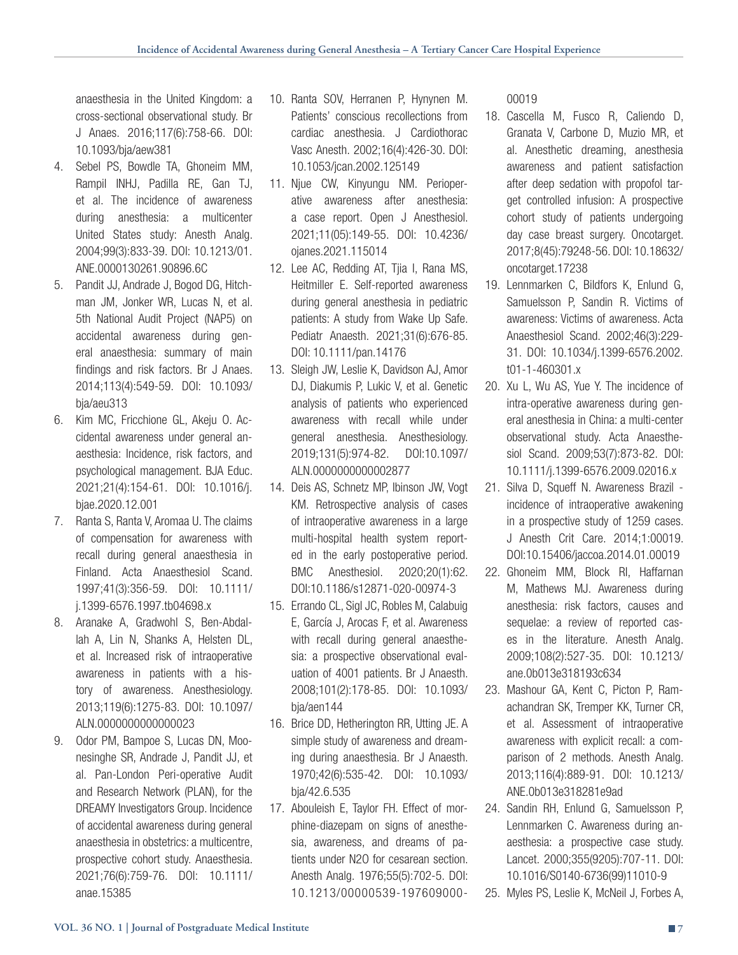anaesthesia in the United Kingdom: a cross-sectional observational study. Br J Anaes. 2016;117(6):758-66. DOI: 10.1093/bja/aew381

- 4. Sebel PS, Bowdle TA, Ghoneim MM, Rampil INHJ, Padilla RE, Gan TJ, et al. The incidence of awareness during anesthesia: a multicenter United States study: Anesth Analg. 2004;99(3):833-39. DOI: 10.1213/01. ANE.0000130261.90896.6C
- 5. Pandit JJ, Andrade J, Bogod DG, Hitchman JM, Jonker WR, Lucas N, et al. 5th National Audit Project (NAP5) on accidental awareness during general anaesthesia: summary of main findings and risk factors. Br J Anaes. 2014;113(4):549-59. DOI: 10.1093/ bja/aeu313
- 6. Kim MC, Fricchione GL, Akeju O. Accidental awareness under general anaesthesia: Incidence, risk factors, and psychological management. BJA Educ. 2021;21(4):154-61. DOI: 10.1016/j. bjae.2020.12.001
- 7. Ranta S, Ranta V, Aromaa U. The claims of compensation for awareness with recall during general anaesthesia in Finland. Acta Anaesthesiol Scand. 1997;41(3):356-59. DOI: 10.1111/ j.1399-6576.1997.tb04698.x
- 8. Aranake A, Gradwohl S, Ben-Abdallah A, Lin N, Shanks A, Helsten DL, et al. Increased risk of intraoperative awareness in patients with a history of awareness. Anesthesiology. 2013;119(6):1275-83. DOI: 10.1097/ ALN.0000000000000023
- 9. Odor PM, Bampoe S, Lucas DN, Moonesinghe SR, Andrade J, Pandit JJ, et al. Pan-London Peri-operative Audit and Research Network (PLAN), for the DREAMY Investigators Group. Incidence of accidental awareness during general anaesthesia in obstetrics: a multicentre, prospective cohort study. Anaesthesia. 2021;76(6):759-76. DOI: 10.1111/ anae.15385
- 10. Ranta SOV, Herranen P, Hynynen M. Patients' conscious recollections from cardiac anesthesia. J Cardiothorac Vasc Anesth. 2002;16(4):426-30. DOI: 10.1053/jcan.2002.125149
- 11. Njue CW, Kinyungu NM. Perioperative awareness after anesthesia: a case report. Open J Anesthesiol. 2021;11(05):149-55. DOI: 10.4236/ ojanes.2021.115014
- 12. Lee AC, Redding AT, Tjia I, Rana MS, Heitmiller E. Self-reported awareness during general anesthesia in pediatric patients: A study from Wake Up Safe. Pediatr Anaesth. 2021;31(6):676-85. DOI: 10.1111/pan.14176
- 13. Sleigh JW, Leslie K, Davidson AJ, Amor DJ, Diakumis P, Lukic V, et al. Genetic analysis of patients who experienced awareness with recall while under general anesthesia. Anesthesiology. 2019;131(5):974-82. DOI:10.1097/ ALN.0000000000002877
- 14. Deis AS, Schnetz MP, Ibinson JW, Vogt KM. Retrospective analysis of cases of intraoperative awareness in a large multi-hospital health system reported in the early postoperative period. BMC Anesthesiol. 2020;20(1):62. DOI:10.1186/s12871-020-00974-3
- 15. Errando CL, Sigl JC, Robles M, Calabuig E, García J, Arocas F, et al. Awareness with recall during general anaesthesia: a prospective observational evaluation of 4001 patients. Br J Anaesth. 2008;101(2):178-85. DOI: 10.1093/ bja/aen144
- 16. Brice DD, Hetherington RR, Utting JE. A simple study of awareness and dreaming during anaesthesia. Br J Anaesth. 1970;42(6):535-42. DOI: 10.1093/ bja/42.6.535
- 17. Abouleish E, Taylor FH. Effect of morphine-diazepam on signs of anesthesia, awareness, and dreams of patients under N2O for cesarean section. Anesth Analg. 1976;55(5):702-5. DOI: 10.1213/00000539-197609000-

00019

- 18. Cascella M, Fusco R, Caliendo D, Granata V, Carbone D, Muzio MR, et al. Anesthetic dreaming, anesthesia awareness and patient satisfaction after deep sedation with propofol target controlled infusion: A prospective cohort study of patients undergoing day case breast surgery. Oncotarget. 2017;8(45):79248-56. DOI: 10.18632/ oncotarget.17238
- 19. Lennmarken C, Bildfors K, Enlund G, Samuelsson P, Sandin R. Victims of awareness: Victims of awareness. Acta Anaesthesiol Scand. 2002;46(3):229- 31. DOI: 10.1034/j.1399-6576.2002. t01-1-460301.x
- 20. Xu L, Wu AS, Yue Y. The incidence of intra-operative awareness during general anesthesia in China: a multi-center observational study. Acta Anaesthesiol Scand. 2009;53(7):873-82. DOI: 10.1111/j.1399-6576.2009.02016.x
- 21. Silva D, Squeff N. Awareness Brazil incidence of intraoperative awakening in a prospective study of 1259 cases. J Anesth Crit Care. 2014;1:00019. DOI:10.15406/jaccoa.2014.01.00019
- 22. Ghoneim MM, Block RI, Haffarnan M, Mathews MJ. Awareness during anesthesia: risk factors, causes and sequelae: a review of reported cases in the literature. Anesth Analg. 2009;108(2):527-35. DOI: 10.1213/ ane.0b013e318193c634
- 23. Mashour GA, Kent C, Picton P, Ramachandran SK, Tremper KK, Turner CR, et al. Assessment of intraoperative awareness with explicit recall: a comparison of 2 methods. Anesth Analg. 2013;116(4):889-91. DOI: 10.1213/ ANE.0b013e318281e9ad
- 24. Sandin RH, Enlund G, Samuelsson P, Lennmarken C. Awareness during anaesthesia: a prospective case study. Lancet. 2000;355(9205):707-11. DOI: 10.1016/S0140-6736(99)11010-9
- 25. Myles PS, Leslie K, McNeil J, Forbes A,